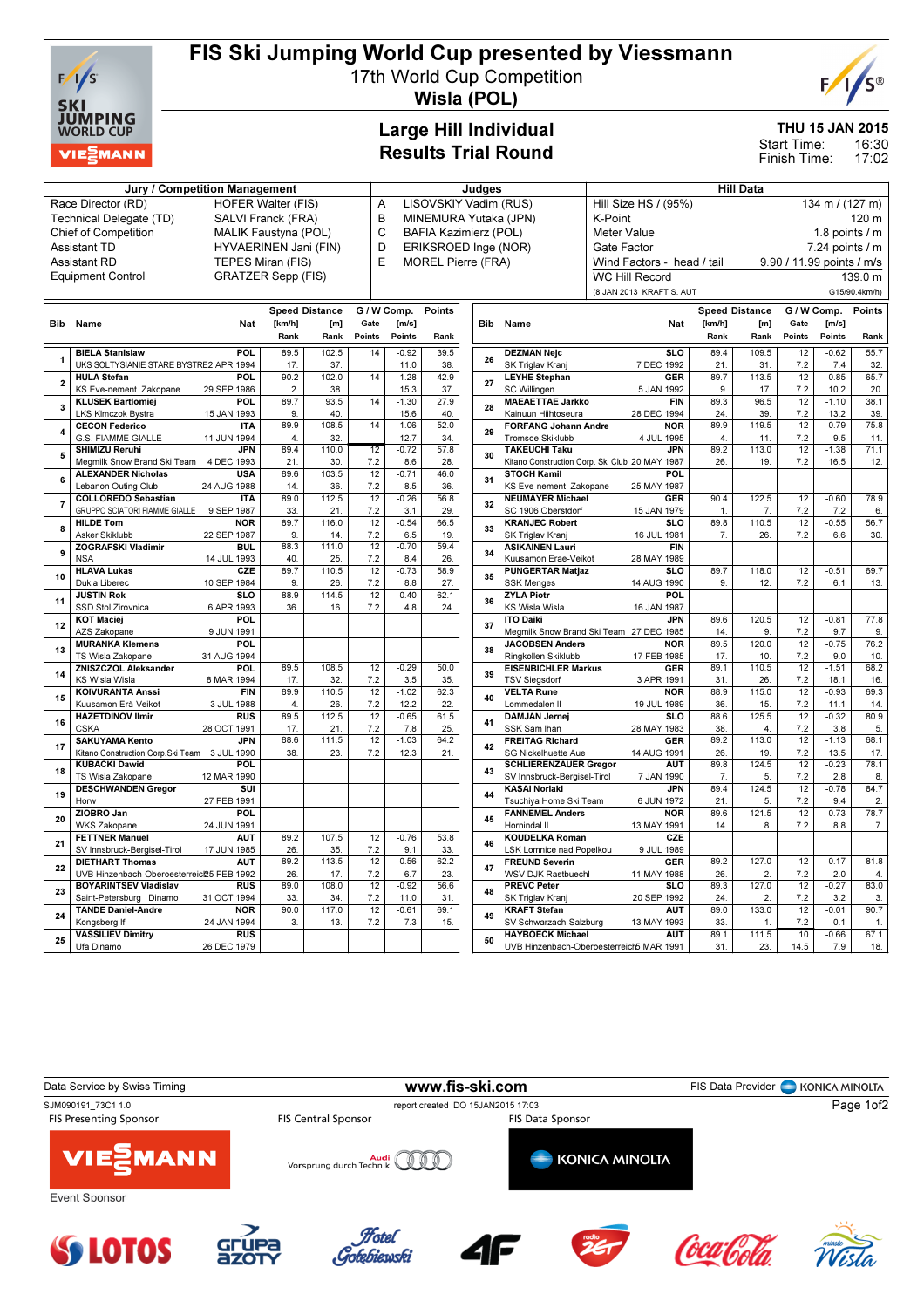

# FIS Ski Jumping World Cup presented by Viessmann

17th World Cup Competition



Wisla (POL)

## Large Hill Individual Results Trial Round

### THU 15 JAN 2015

16:30 17:02 Start Time: Finish Time:

#### Jury / Competition Management de Late and Judges and Hill Data Race Director (RD) HOFER Walter (FIS)<br>Technical Delegate (TD) SALVI Franck (FRA) Technical Delegate (TD) Chief of Competition MALIK Faustyna (POL) Assistant TD **HYVAERINEN Jani (FIN)**<br>Assistant RD **TEPES Miran (FIS)**

TEPES Miran (FIS) Equipment Control GRATZER Sepp (FIS)

- A LISC<br>B MINI **MINE** C BAF
- D ERIK<br>E MOR MO<sub>F</sub>

| )VSKIY Vadim (RUS)       |  |     |                    | Hill Size HS / (95%)       |        |                       | 134 m / $(127 m)$         |             |               |  |  |  |
|--------------------------|--|-----|--------------------|----------------------------|--------|-----------------------|---------------------------|-------------|---------------|--|--|--|
| EMURA Yutaka (JPN)       |  |     |                    | K-Point                    |        |                       | 120 <sub>m</sub>          |             |               |  |  |  |
| IA Kazimierz (POL)       |  |     |                    | Meter Value                |        |                       | 1.8 points $\sqrt{}$ m    |             |               |  |  |  |
| <b>KSROED Inge (NOR)</b> |  |     |                    | Gate Factor                |        |                       | $7.24$ points $/ m$       |             |               |  |  |  |
| <b>REL Pierre (FRA)</b>  |  |     |                    | Wind Factors - head / tail |        |                       | 9.90 / 11.99 points / m/s |             |               |  |  |  |
|                          |  |     |                    | WC Hill Record             |        |                       | 139.0 m                   |             |               |  |  |  |
|                          |  |     |                    | (8 JAN 2013 KRAFT S. AUT   |        |                       | G15/90.4km/h)             |             |               |  |  |  |
| Points                   |  |     |                    |                            |        | <b>Speed Distance</b> |                           | G / W Comp. | <b>Points</b> |  |  |  |
|                          |  | Bib | Name               | Nat                        | [km/h] | [m]                   | Gate                      | [m/s]       |               |  |  |  |
| Rank                     |  |     |                    |                            | Rank   | Rank                  | <b>Points</b>             | Points      | Rank          |  |  |  |
| 39.5                     |  | ne. | <b>DEZMAN Neic</b> | <b>SLO</b>                 | 89.4   | 109.5                 | 12                        | $-0.62$     | 55.7          |  |  |  |

|                |                                               |             |        | <b>Speed Distance</b> | G / W Comp.     |         | <b>Points</b> |  |
|----------------|-----------------------------------------------|-------------|--------|-----------------------|-----------------|---------|---------------|--|
| Bib            | Name                                          | Nat         | [km/h] | [ml]                  | Gate            | [m/s]   |               |  |
|                |                                               |             | Rank   | Rank                  | Points          | Points  | Rank          |  |
|                | <b>BIELA Stanislaw</b>                        | <b>POL</b>  | 89.5   | 102.5                 | 14              | $-0.92$ | 39.5          |  |
| 1              | UKS SOLTYSIANIE STARE BYSTRE2 APR 1994        |             | 17.    | 37.                   |                 | 11.0    | 38.           |  |
|                | <b>HULA Stefan</b>                            | <b>POL</b>  | 90.2   | 102.0                 | 14              | $-1.28$ | 42.9          |  |
| $\overline{2}$ | KS Eve-nement Zakopane                        | 29 SEP 1986 | 2.     | 38.                   |                 | 15.3    | 37.           |  |
|                | <b>KLUSEK Bartlomiej</b>                      | <b>POL</b>  | 89.7   | 93.5                  | 14              | $-1.30$ | 27.9          |  |
| 3              | LKS Klmczok Bystra                            | 15 JAN 1993 | 9.     | 40.                   |                 | 15.6    | 40.           |  |
| 4              | <b>CECON Federico</b>                         | <b>ITA</b>  | 89.9   | 108.5                 | 14              | $-1.06$ | 52.0          |  |
|                | G.S. FIAMME GIALLE                            | 11 JUN 1994 | 4.     | 32.                   |                 | 12.7    | 34.           |  |
|                | <b>SHIMIZU Reruhi</b>                         | <b>JPN</b>  | 89.4   | 110.0                 | $\overline{12}$ | $-0.72$ | 57.8          |  |
| 5              | Megmilk Snow Brand Ski Team                   | 4 DEC 1993  | 21.    | 30.                   | 7.2             | 8.6     | 28.           |  |
|                | <b>ALEXANDER Nicholas</b>                     | <b>USA</b>  | 89.6   | 103.5                 | 12              | $-0.71$ | 46.0          |  |
| 6              | Lebanon Outing Club                           | 24 AUG 1988 | 14.    | 36.                   | 7.2             | 8.5     | 36.           |  |
| 7              | <b>COLLOREDO Sebastian</b>                    | <b>ITA</b>  | 89.0   | 112.5                 | 12              | $-0.26$ | 56.8          |  |
|                | GRUPPO SCIATORI FIAMME GIALLE                 | 9 SEP 1987  | 33.    | 21.                   | 7.2             | 3.1     | 29.           |  |
|                | <b>HILDE Tom</b>                              | <b>NOR</b>  | 89.7   | 116.0                 | 12              | $-0.54$ | 66.5          |  |
| 8              | Asker Skiklubb                                | 22 SEP 1987 | 9.     | 14.                   | 7.2             | 6.5     | 19.           |  |
| 9              | <b>ZOGRAFSKI Vladimir</b>                     | <b>BUL</b>  | 88.3   | 111.0                 | 12              | $-0.70$ | 59.4          |  |
|                | <b>NSA</b>                                    | 14 JUL 1993 | 40.    | 25.                   | 7.2             | 8.4     | 26.           |  |
|                | <b>HLAVA Lukas</b>                            | CZE         | 89.7   | 110.5                 | 12              | $-0.73$ | 58.9          |  |
| 10             | Dukla Liberec                                 | 10 SEP 1984 | 9.     | 26.                   | 7.2             | 8.8     | 27.           |  |
|                | <b>JUSTIN Rok</b>                             | <b>SLO</b>  | 88.9   | 114.5                 | 12              | $-0.40$ | 62.1          |  |
| 11             | SSD Stol Zirovnica                            | 6 APR 1993  | 36.    | 16.                   | 7.2             | 4.8     | 24.           |  |
| 12             | <b>KOT Maciej</b>                             | <b>POL</b>  |        |                       |                 |         |               |  |
|                | AZS Zakopane                                  | 9 JUN 1991  |        |                       |                 |         |               |  |
| 13             | <b>MURANKA Klemens</b>                        | <b>POL</b>  |        |                       |                 |         |               |  |
|                | TS Wisla Zakopane                             | 31 AUG 1994 |        |                       |                 |         |               |  |
| 14             | <b>ZNISZCZOL Aleksander</b>                   | <b>POL</b>  | 89.5   | 108.5                 | 12              | $-0.29$ | 50.0          |  |
|                | KS Wisla Wisla                                | 8 MAR 1994  | 17.    | 32.                   | 7.2             | 3.5     | 35.           |  |
| 15             | <b>KOIVURANTA Anssi</b>                       | <b>FIN</b>  | 89.9   | 110.5                 | 12              | $-1.02$ | 62.3          |  |
|                | Kuusamon Erä-Veikot                           | 3 JUL 1988  | 4.     | 26.                   | 7.2             | 12.2    | 22.           |  |
| 16             | <b>HAZETDINOV Ilmir</b>                       | <b>RUS</b>  | 89.5   | 112.5                 | 12              | $-0.65$ | 61.5          |  |
|                | <b>CSKA</b>                                   | 28 OCT 1991 | 17.    | 21.                   | 7.2             | 7.8     | 25.           |  |
| 17             | <b>SAKUYAMA Kento</b>                         | <b>JPN</b>  | 88.6   | 111.5                 | 12              | $-1.03$ | 64.2          |  |
|                | Kitano Construction Corp. Ski Team 3 JUL 1990 |             | 38.    | 23.                   | 7.2             | 12.3    | 21.           |  |
| 18             | <b>KUBACKI Dawid</b>                          | POL         |        |                       |                 |         |               |  |
|                | TS Wisla Zakopane                             | 12 MAR 1990 |        |                       |                 |         |               |  |
| 19             | <b>DESCHWANDEN Gregor</b>                     | SUI         |        |                       |                 |         |               |  |
|                | Horw                                          | 27 FEB 1991 |        |                       |                 |         |               |  |
| 20             | ZIOBRO Jan                                    | <b>POL</b>  |        |                       |                 |         |               |  |
|                | WKS Zakopane                                  | 24 JUN 1991 |        |                       |                 |         |               |  |
| 21             | <b>FETTNER Manuel</b>                         | <b>AUT</b>  | 89.2   | 107.5                 | 12              | $-0.76$ | 53.8          |  |
|                | SV Innsbruck-Bergisel-Tirol                   | 17 JUN 1985 | 26.    | 35.                   | 7.2             | 9.1     | 33.           |  |
| 22             | <b>DIETHART Thomas</b>                        | <b>AUT</b>  | 89.2   | 113.5                 | 12              | $-0.56$ | 62.2          |  |
|                | UVB Hinzenbach-Oberoesterreict25 FEB 1992     |             | 26.    | 17.                   | 7.2             | 6.7     | 23.           |  |
| 23             | <b>BOYARINTSEV Vladislav</b>                  | <b>RUS</b>  | 89.0   | 108.0                 | 12              | $-0.92$ | 56.6          |  |
|                | Saint-Petersburg Dinamo                       | 31 OCT 1994 | 33.    | 34.                   | 7.2             | 11.0    | 31.           |  |
| 24             | <b>TANDE Daniel-Andre</b>                     | <b>NOR</b>  | 90.0   | 117.0                 | 12              | $-0.61$ | 69.1          |  |
|                | Konasbera If                                  | 24 JAN 1994 | 3.     | 13.                   | 7.2             | 7.3     | 15.           |  |
| 25             | <b>VASSILIEV Dimitry</b>                      | <b>RUS</b>  |        |                       |                 |         |               |  |
|                | Ufa Dinamo                                    | 26 DEC 1979 |        |                       |                 |         |               |  |

|     |                                                |                 |        | Opeed Distance | Giwconip.romus |         |      |  |  |
|-----|------------------------------------------------|-----------------|--------|----------------|----------------|---------|------|--|--|
| 3ib | Name                                           | Nat             | [km/h] | [m]            | Gate           | [m/s]   |      |  |  |
|     |                                                |                 | Rank   | Rank           | Points         | Points  | Rank |  |  |
|     | <b>DEZMAN Nejc</b>                             | <b>SLO</b>      | 89.4   | 109.5          | 12             | $-0.62$ | 55.7 |  |  |
| 26  | SK Triglav Kranj                               | 7 DEC 1992      | 21.    | 31.            | 7.2            | 7.4     | 32.  |  |  |
|     | <b>LEYHE Stephan</b>                           | <b>GER</b>      | 89.7   | 113.5          | 12             | $-0.85$ | 65.7 |  |  |
| 27  | SC Willingen                                   | 5 JAN 1992      | 9.     | 17.            | 7.2            | 10.2    | 20.  |  |  |
|     | <b>MAEAETTAE Jarkko</b>                        | <b>FIN</b>      | 89.3   | 96.5           | 12             | $-1.10$ | 38.1 |  |  |
| 28  | Kainuun Hiihtoseura                            | 28 DEC 1994     | 24.    | 39.            | 7.2            | 13.2    | 39.  |  |  |
|     | <b>FORFANG Johann Andre</b>                    | <b>NOR</b>      | 89.9   | 119.5          | 12             | $-0.79$ | 75.8 |  |  |
| 29  | Tromsoe Skiklubb                               | 4 JUL 1995      | 4.     | 11.            | 7.2            | 9.5     | 11.  |  |  |
|     | <b>TAKEUCHI Taku</b>                           | <b>JPN</b>      | 89.2   | 113.0          | 12             | $-1.38$ | 71.1 |  |  |
| 30  | Kitano Construction Corp. Ski Club 20 MAY 1987 |                 | 26.    | 19.            | 7.2            | 16.5    | 12.  |  |  |
|     | <b>STOCH Kamil</b>                             | POL             |        |                |                |         |      |  |  |
| 31  | KS Eve-nement Zakopane                         | 25 MAY 1987     |        |                |                |         |      |  |  |
|     | <b>NEUMAYER Michael</b>                        | <b>GER</b>      | 90.4   | 122.5          | 12             | $-0.60$ | 78.9 |  |  |
| 32  | SC 1906 Oberstdorf                             | 15 JAN 1979     | 1.     | 7.             | 7.2            | 7.2     | 6.   |  |  |
|     | <b>KRANJEC Robert</b>                          | <b>SLO</b>      | 89.8   | 110.5          | 12             | $-0.55$ | 56.7 |  |  |
| 33  | SK Triglav Kranj                               | 16 JUL 1981     | 7.     | 26.            | 7.2            | 6.6     | 30.  |  |  |
|     | <b>ASIKAINEN Lauri</b>                         | <b>FIN</b>      |        |                |                |         |      |  |  |
| 34  | Kuusamon Erae-Veikot                           | 28 MAY 1989     |        |                |                |         |      |  |  |
|     | <b>PUNGERTAR Matjaz</b>                        | <b>SLO</b>      | 89.7   | 118.0          | 12             | $-0.51$ | 69.7 |  |  |
| 35  | <b>SSK Menges</b>                              | 14 AUG 1990     | 9.     | 12.            | 7.2            | 6.1     | 13.  |  |  |
|     | <b>ZYLA Piotr</b>                              | <b>POL</b>      |        |                |                |         |      |  |  |
| 36  | KS Wisla Wisla                                 | 16 JAN 1987     |        |                |                |         |      |  |  |
| 37  | <b>ITO Daiki</b>                               | <b>JPN</b>      | 89.6   | 120.5          | 12             | $-0.81$ | 77.8 |  |  |
|     | Megmilk Snow Brand Ski Team 27 DEC 1985        |                 | 14.    | 9.             | 7.2            | 9.7     | 9.   |  |  |
|     | <b>JACOBSEN Anders</b>                         | <b>NOR</b>      | 89.5   | 120.0          | 12             | $-0.75$ | 76.2 |  |  |
| 38  | Ringkollen Skiklubb                            | 17 FEB 1985     | 17.    | 10.            | 7.2            | 9.0     | 10.  |  |  |
|     | <b>EISENBICHLER Markus</b>                     | <b>GER</b>      | 89.1   | 110.5          | 12             | $-1.51$ | 68.2 |  |  |
| 39  | <b>TSV Siegsdorf</b>                           | 3 APR 1991      | 31.    | 26.            | 7.2            | 18.1    | 16.  |  |  |
|     | <b>VELTA Rune</b>                              | <b>NOR</b>      | 88.9   | 115.0          | 12             | $-0.93$ | 69.3 |  |  |
| 40  | Lommedalen II                                  | 19 JUL 1989     | 36.    | 15.            | 7.2            | 11.1    | 14.  |  |  |
|     | <b>DAMJAN Jernej</b>                           | SL <sub>O</sub> | 88.6   | 125.5          | 12             | $-0.32$ | 80.9 |  |  |
| 41  | SSK Sam Ihan                                   | 28 MAY 1983     | 38.    | 4.             | 7.2            | 3.8     | 5.   |  |  |
| 42  | <b>FREITAG Richard</b>                         | <b>GER</b>      | 89.2   | 113.0          | 12             | $-1.13$ | 68.1 |  |  |
|     | <b>SG Nickelhuette Aue</b>                     | 14 AUG 1991     | 26.    | 19.            | 7.2            | 13.5    | 17.  |  |  |
| 43  | <b>SCHLIERENZAUER Gregor</b>                   | <b>AUT</b>      | 89.8   | 124.5          | 12             | $-0.23$ | 78.1 |  |  |
|     | SV Innsbruck-Bergisel-Tirol                    | 7 JAN 1990      | 7.     | 5.             | 7.2            | 2.8     | 8.   |  |  |
| 44  | <b>KASAI Noriaki</b>                           | <b>JPN</b>      | 89.4   | 124.5          | 12             | $-0.78$ | 84.7 |  |  |
|     | Tsuchiya Home Ski Team                         | 6 JUN 1972      | 21.    | 5.             | 7.2            | 9.4     | 2.   |  |  |
| 45  | <b>FANNEMEL Anders</b>                         | <b>NOR</b>      | 89.6   | 121.5          | 12             | $-0.73$ | 78.7 |  |  |
|     | Hornindal II                                   | 13 MAY 1991     | 14.    | 8.             | 7.2            | 8.8     | 7.   |  |  |
| 46  | <b>KOUDELKA Roman</b>                          | CZE             |        |                |                |         |      |  |  |
|     | LSK Lomnice nad Popelkou                       | 9 JUL 1989      |        |                |                |         |      |  |  |
| 47  | <b>FREUND Severin</b>                          | <b>GER</b>      | 89.2   | 127.0          | 12             | $-0.17$ | 81.8 |  |  |
|     | WSV DJK Rastbuechl                             | 11 MAY 1988     | 26.    | 2.             | 7.2            | 2.0     | 4.   |  |  |
| 48  | <b>PREVC Peter</b>                             | <b>SLO</b>      | 89.3   | 127.0          | 12             | $-0.27$ | 83.0 |  |  |
|     | SK Triglav Kranj                               | 20 SEP 1992     | 24.    | $\overline{2}$ | 7.2            | 3.2     | 3.   |  |  |
| 49  | <b>KRAFT Stefan</b>                            | <b>AUT</b>      | 89.0   | 133.0          | 12             | $-0.01$ | 90.7 |  |  |
|     | SV Schwarzach-Salzburg                         | 13 MAY 1993     | 33.    | 1.             | 7.2            | 0.1     | 1.   |  |  |
| 50  | <b>HAYBOECK Michael</b>                        | <b>AUT</b>      | 89.1   | 111.5          | 10             | $-0.66$ | 67.1 |  |  |
|     | UVB Hinzenbach-Oberoesterreich MAR 1991        |                 | 31.    | 23.            | 14.5           | 7.9     | 18.  |  |  |